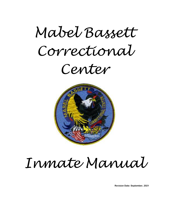



# *Inmate Manual*

**Revision Date: September, 2021**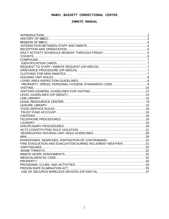#### INMATE MANUAL

| PROPERTY, DRESS, PERSONAL HYGIENE STANDARDS CODE9         |  |
|-----------------------------------------------------------|--|
|                                                           |  |
|                                                           |  |
|                                                           |  |
|                                                           |  |
|                                                           |  |
|                                                           |  |
|                                                           |  |
|                                                           |  |
|                                                           |  |
|                                                           |  |
|                                                           |  |
|                                                           |  |
|                                                           |  |
| MAIL                                                      |  |
|                                                           |  |
| FIRE EVACUATION AND EVACUATION DURING INCLEMENT WEATHER31 |  |
|                                                           |  |
|                                                           |  |
|                                                           |  |
|                                                           |  |
|                                                           |  |
|                                                           |  |
|                                                           |  |
|                                                           |  |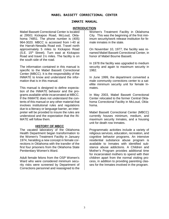#### INMATE MANUAL

#### **INTRODUCTION**

Mabel Bassett Correctional Center is located at 29501 Kickapoo Road, McLoud, Oklahoma 74851. The phone number is (405) 964-3020. MBCC is accessed from I-40 at the Harrah-Newalla Road exit. Travel north approximately 5 miles to Kickapoo Road (S.E. 15<sup>th</sup> Street). Turn east at Kickapoo Road and travel 1½ miles. The facility is on the south side of the road.

The information contained in this manual is specific to the Mabel Bassett Correctional Center (MBCC). It is the responsibility of the INMATE to know and understand the information that is in this manual.

This manual is designed to define expectation of the INMATE behavior and the programs available while incarcerated at MBCC. If the INMATE does not understand the contents of this manual or any other material that involves institutional rules and regulations due to a literacy or language barrier, an interpreter will be provided to insure the rules are understood and the expectation that the IN-MATE will follow them.

#### **HISTORY OF MBCC**

The vacated laboratory of the Oklahoma Health Department began transformation to the Women's Treatment Facility in January 1974, heralding a new concept in female corrections in Oklahoma with the transfer of the first four prisoners from the Oklahoma State Penitentiary Women's Ward.

Adult female felons from the OSP Women's Ward who were considered minimum security risks were screened by Department of Corrections personnel and reassigned to the

Women's Treatment Facility in Oklahoma City. This was the beginning of the first minimum security/work release institution for female inmates in the state.

On November 10, 1977, the facility was renamed Mabel Bassett Correctional Center, in honor of Mabel Bourne Bassett.

In 1978 the facility was upgraded to medium security and again to maximum security in 1982.

In June 1999, the department converted a male community corrections center to a satellite minimum security unit for female Inmates.

In May 2003, Mabel Bassett Correctional Center relocated to the former Central Oklahoma Correctional Facility in McLoud, Oklahoma.

Mabel Bassett Correctional Center (MBCC) currently houses minimum, medium, and maximum security Inmates, and a housing unit for death row Inmates.

Programmatic activities include a variety of religious services, education, recreation, and cognitive behavior programs. An intensive residential substance abuse program is available to Inmates with identified substance abuse addictions. A Children and Mother's Program provides additional time for incarcerated mothers to spend with their children apart from the normal visiting process, in addition to providing parenting classes for the Inmates involved in the program.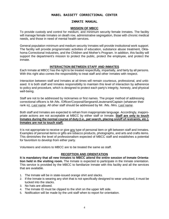#### INMATE MANUAL

#### **MISSION OF MBCC**

To provide custody and control for medium, and minimum security female Inmates. The facility will manage female Inmates on death row, administrative segregation, those with chronic medical needs, and those in need of mental health services.

General population minimum and medium security Inmates will provide institutional work support. The facility will provide programmatic activities of education, substance abuse treatment, Oklahoma Correctional Industries, and the Children and Mother's Program. In addition, this facility will support the department's mission to protect the public, protect the employee, and protect the inmate.

#### **INTERACTION BETWEEN STAFF AND INMATES**

Each Inmate at MBCC has the right to be treated respectfully, impartially, and fairly by all persons. With this right also comes the responsibility to treat staff and other Inmates with respect.

Interaction between staff and Inmates at all times will remain courteous, professional, and unbiased. It is both staff and Inmates responsibility to maintain this level of interaction by adherence to policy and procedure, which is designed to protect each party's integrity, honesty, and physical well-being.

Staff are not to be addressed by nicknames or first names. The proper method of addressing correctional officers is Mr./Ms. /Officer/Corporal/Sergeant/Lieutenant/Captain (whatever their rank is), *Last name*. All other staff should be addressed by Mr. /Ms. /Mrs. *Last name*.

Both staff and Inmates are expected to refrain from inappropriate language. Accordingly, inappropriate actions are not acceptable at MBCC by either staff or Inmate. **Staff are only to touch Inmates during the normal course of duty (i.e., pat search, placing on/off of restraints, etc.). Inmates are not to touch staff.**

It is not appropriate to receive or give any type of personal item or gift between staff and Inmates. Examples of personal items or gifts are tobacco products, photographs, and arts and crafts items. This diminishes the level of professionalism expected of MBCC staff and establishes a potential for favoritism to develop from either party.

Volunteers and visitors to MBCC are to be treated the same as staff.

#### **RECEPTION AND ORIENTATION**

**It is mandatory that all new Inmates to MBCC attend the entire session of Inmate Orientation held in the visiting room.** The Inmate is expected to participate in the Inmate orientation. This service is provided by the MBCC to familiarize Inmate with this facility and all the services that are available.

- 1. The Inmate will be in state-issued orange shirt and slacks.
- 2. If the Inmate is wearing any shirt that is not specifically designed to wear untucked, it must be tucked into the slacks.
- 3. No hats are allowed.
- 4. The Inmate ID must be clipped to the shirt on the upper left side.
- 5. Notification will be made by the unit staff when to report for orientation.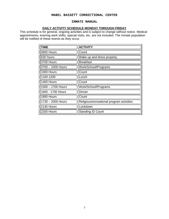#### INMATE MANUAL

#### **DAILY ACTIVITY SCHEDULE MONDAY THROUGH FRIDAY**

This schedule is for general, ongoing activities and is subject to change without notice. Medical appointments, evening work shifts, special visits, etc. are not included. The Inmate population will be notified of these events as they occur.

| <b>TIME</b>       | <b>ACTIVITY</b>                           |
|-------------------|-------------------------------------------|
| 0600 Hours        | Count                                     |
| 630 hours         | Wake up and dress properly.               |
| 0700 Hours        | <b>Breakfast</b>                          |
| 0700 - 1000 Hours | Work/School/Programs                      |
| 1000 Hours        | Count                                     |
| 1100-1200         | Lunch                                     |
| 1400 Hours        | Count                                     |
| 1500 - 1700 Hours | Work/School/Programs                      |
| 1600 - 1700 Hours | <b>Dinner</b>                             |
| 1800 Hours        | Count                                     |
| 1730 - 2000 Hours | Religious/recreational program activities |
| 2145 Hours        | Lockdown                                  |
| 2200 Hours        | <b>Standing ID Count</b>                  |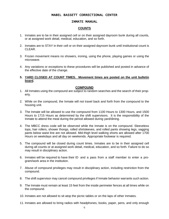#### INMATE MANUAL

# **COUNTS**

- 1. Inmates are to be in their assigned cell or on their assigned dayroom bunk during all counts, or at assigned work detail, medical, education, and so forth.
- 2. Inmates are to STAY in their cell or on their assigned dayroom bunk until institutional count is CLEAR.
- 3. Frozen movement means no showers, ironing, using the phone, playing games or using the microwave.
- 4. Any variations or exceptions to these procedures will be published and posted in advance of the effective date of the change.
- **5. YARD CLOSED AT COUNT TIMES. Movement times are posted on the unit bulletin board.**

#### **COMPOUND**

- 1. All Inmates using the compound are subject to random searches and the search of their property.
- 2. While on the compound, the Inmate will not travel back and forth from the compound to the housing unit.
- 3. The Inmate will be allowed to use the compound from 1100 Hours to 1300 Hours, and 1500 Hours to 1715 Hours as determined by the shift supervisors. It is the responsibility of the Inmate to attend the meal during the period allowed during yard/dining.
- 4. The MBCC dress code will be observed while the Inmate is on the compound. Sleeveless tops, hair rollers, shower thongs, rolled shirtsleeves, and rolled pants showing legs, sagging pants below waist line are not allowed. Mid-thigh level walking shorts are allowed after 1700 Hours on weekdays and all day on weekends. Appropriate footwear is required.
- 5. The compound will be closed during count times. Inmates are to be in their assigned cell during all counts or at assigned work detail, medical, education, and so forth. Failure to do so may result in disciplinary action.
- 6. Inmates will be required to have their ID and a pass from a staff member to enter a program/work area in the institution.
- 7. Abuse of compound privileges may result in disciplinary action, including restriction from the compound.
- 8. The shift supervisor may cancel compound privileges if Inmate behavior warrants such action.
- 9. The Inmate must remain at least 15 feet from the inside perimeter fences at all times while on the compound.
- 10. Inmates are not allowed to sit atop the picnic tables or on the laps of other Inmates.
- 11. Inmates are allowed to bring radios with headphones, books, paper, pens, and only enough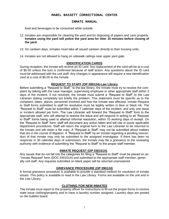#### INMATE MANUAL

food and beverages to be consumed while outside.

12. Inmates are responsible for cleaning the yard and for disposing of papers and cans properly. **Inmates using the yard will police the yard area for litter 15 minutes before closing of the yard.**

13. On canteen days, Inmates must take all issued canteen directly to their housing units.

14. Inmates are not allowed to hang on sidewalk railings near upper yard gate.

#### **IDENTIFICATION CARDS**

During reception, the Inmate will receive an ID card. Any replacement of the card will be at a cost of \$5.00 unless the loss is confirmed because of staff action. Any questions about the ID card must be addressed with the unit staff. Any changes in appearance will require a new identification card at a cost of \$5.00 to the Inmate.

#### **REQUEST TO STAFF (OP 090124)-Law Library**

Before submitting a "Request to Staff," to the law library, the Inmate must try to resolve the complaint by talking with the case manager, supervising employee or other appropriate staff within 3 days of the incident. If not resolved, the Inmate must submit a "Request to Staff" to the Law Librarian stating completely but briefly the problem. This statement must be specific as to the complaint, dates, places, personnel involved and how the Inmate was affected. Inmate Request to Staff forms submitted to staff for resolution must be legibly written in blue or black ink. The "Request to Staff" must be submitted within 7 calendar days of the incident, and only one issue or incident allowed per form. The Law Librarian will forward the "Request to Staff" form to the appropriate staff, who will attempt to resolve the issue and will respond in writing to all "Request to Staff" forms being used to attempt informal resolution, within 10 working days of receipt. On the "Request to Staff" form, staff will document any action taken and will cite or quote applicable department procedures. Staff will return the original form to the Law Librarian to be returned to the Inmate and will retain a file copy. A "Request to Staff" may not be submitted about matters that are in the course of litigation. A "Request to Staff" by an Inmate regarding a pending misconduct of that Inmate may only be submitted to the assigned investigator. If there has been no response in 30 calendar days of submission, the Inmate may file a grievance to the reviewing authority with evidence of submitting the "Request to Staff" to the proper staff member.

## **INMATE REQUEST (OP 030101A)**

Any issues that do not fall into the categories for filing a "Request to Staff" must be placed on an "Inmate Request" form (DOC 030101A) and submitted to the appropriate staff member, generally unit staff. Any requests submitted on blank paper will be returned unanswered.

#### **GRIEVANCE PROCEDURE (OP 090124)**

A formal grievance procedure is available to provide a standard method for resolution of Inmate issues. This policy is available to read in the Law Library. Forms are available on the unit and in the Law Library.

#### **CLOTHING FOR NEW INMATES**

The Inmate must report to the property officer for instructions to fill out the proper forms to receive state issue clothing/property and to have a laundry number assigned. Laundry days are posted on the bulletin board.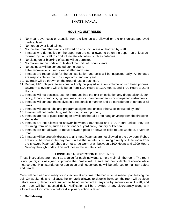# INMATE MANUAL

#### **HOUSING UNIT RULES**

- 1. No meal trays, cups or utensils from the kitchen are allowed on the unit unless approved medical lay-in.
- 2. No horseplay or loud talking.
- 3. No Inmate from other units is allowed on any unit unless authorized by staff.
- 4. Inmates who do not live on the upper run are not allowed to be on the upper run unless authorized by unit staff to conduct inmate job duties, such as orderlies.
- 5. No sitting on or blocking of stairs will be permitted.
- 6. No movement on pods or outside of the unit until count clears.
- 7. No business will be conducted during count.
- 8. If the microwave is used, clean it after each use.
- 9. Inmates are responsible for the cell sanitation and cells will be inspected daily. All Inmates are responsible for the runs, dayrooms, and unit yard.
- 10. NO trash will be thrown on the ground, use a trash can.
- 11. Radios, MP3 players, televisions will only be played at a low volume or with head phones. Dayroom televisions will only be on from 1100 Hours to 1300 Hours, and 1700 Hours to 2145 Hours.
- 12. Inmates will not possess, use, or introduce into the unit or institution any drugs, alcohol, currency, tobacco products, lighters, matches, or unauthorized tools or sharpened instruments.
- 13. Inmates will conduct themselves in a responsible manner and be considerate of others at all times.
- 14. Inmates will attend jobs and program assignments unless otherwise instructed by staff.
- 15. Inmates will not barter, buy, sell, borrow, or loan property.
- 16. Inmates are not to place clothing or towels on the rails or to hang anything from the fire sprinkler system.
- 17. Inmates are not allowed to shower between 1100 Hours and 1700 Hours unless they are returning from work, such as maintenance, yard crew, laundry or kitchen.
- 18. Inmates are not allowed to move between pods or between cells to use washers, dryers or irons.
- 19. Inmates will be properly dressed at all times. Pajamas are not allowed in the dayroom. Robes are not to be worn in the dayroom unless the inmate is returning directly to their room from the shower. Pajamas/robes are not to be worn at all between 1100 Hours and 1700 Hours Monday through Friday. This includes in the inmate's cell.

#### **LIVING AREA INSPECTION GUIDELINES**

These instructions are meant as a guide for each individual to help maintain the room. The room is not yours; it is assigned to provide the Inmate with a safe and comfortable residence while incarcerated. High standards for sanitation and housekeeping will be enforced to maintain safety and health.

Cells will be clean and ready for inspection at any time. The bed is to be made upon leaving the cell. On weekends and holidays, the Inmate is allowed to sleep in; however, the room will be clean before leaving. Rooms are subject to being inspected at anytime by security or unit staff, and each room will be inspected daily. Notification will be provided of any discrepancy along with allotted time for correction before disciplinary action is taken.

#### 1. **Bed Making**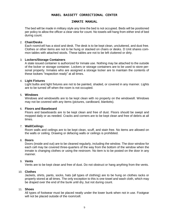#### INMATE MANUAL

The bed will be made in military style any time the bed is not occupied. Beds will be positioned per policy to allow the officer a clear view for count. No towels will hang from either end of bed during count.

#### 2. **Chair/Desks**

Each room/cell has a stool and desk. The desk is to be kept clean, uncluttered, and dust free. Clothes or other items are not to be hung or stacked on chairs or desks. D Unit shares common tables with attached stools. These tables are not to be left cluttered or dirty.

#### 3. **Lockers/Storage Containers**

A state issued container is authorized for Inmate use. Nothing may be attached to the outside of the locker or storage container. Lockers or storage containers are to be used to store personal property. Inmates who are assigned a storage locker are to maintain the contents of these lockers "inspection ready" at all times.

#### 4. **Light Fixtures**

Light bulbs and light fixtures are not to be painted, shaded, or covered in any manner. Lights are to be turned off when the room is not occupied.

#### 5. **Windows**

Windows and windowsills are to be kept clean with no property on the windowsill. Windows may not be covered with any items (pictures, cardboard, blankets).

#### 6. **Floors and Baseboard**

Floors and baseboards are to be kept clean and free of dust. Floors should be swept and mopped daily or as needed. Cracks and corners are to be kept clean and free of debris at all times.

#### 7. **Wall/Ceiling**s

Room walls and ceilings are to be kept clean, scuff, and stain free. No items are allowed on the walls or ceiling. Drawing or defacing walls or ceilings is prohibited.

#### 8. **Doors**

Doors (inside and out) are to be cleaned regularly, including the window. The door window for each cell may be covered three-quarters of the way from the bottom of the window when the inmate is changing clothes or using the restroom. No item is to be posted on the door in any manner.

#### 9. **Vents**

Vents are to be kept clean and free of dust. Do not obstruct or hang anything from the vents.

#### 10. **Clothes**

Jackets, shirts, pants, socks, hats (all types of clothing) are to be hung on clothes racks or properly stored at all times. The only exception to this is one towel and wash cloth, which may be draped over the end of the bunk until dry, but not during count.

#### 11. **Shoes**

All types of footwear must be placed neatly under the lower bunk when not in use. Footgear will not be placed outside of the room/cell.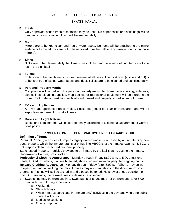## INMATE MANUAL

#### 12. **Trash**

Only approved issued trash receptacles may be used. No paper sacks or plastic bags will be used as a trash container. Trash will be emptied daily.

#### 13. **Mirror**

Mirrors are to be kept clean and free of water spots. No items will be attached to the mirror surface or frame. Mirrors are not to be removed from the wall for any reason (rooms that have mirrors).

#### 14. **Sinks**

Sinks are to be cleaned daily. No towels, washcloths, and personal clothing items are to be left in the sink basin.

#### 15. **Toilets**

Toilets are to be maintained in a clean manner at all times. The toilet bowl (inside and out) is to be kept free of stains, water spots, and dust. Toilets are to be cleaned and sanitized daily.

#### 16. **Personal Property Matrix**

Compliance will be met with the personal property matrix. No homemade shelving, antennas, clotheslines, cleaning supplies, mop buckets or recreational equipment will be stored in the room. Craft material must be specifically authorized and properly stored when not in use.

#### 17. **TV's and Appliances**

All TV's and appliances (fans, radios, clocks, etc.) must be clear or transparent and will be kept clean and free of dust at all times.

#### 18. **Books and Legal Material**

Books and legal material will be stored neatly according to Oklahoma Department of Corrections policy.

# **PROPERTY, DRESS, PERSONAL HYGIENE STANDARDS CODE**

#### **Definition of Terms:**

Personal Property – articles of property legally owned and/or purchased by an inmate. Any personal property which the Inmate retains or brings into MBCC is at the Inmates own risk. MBCC is not responsible for unsecured personal property.

State Issued Property – articles provided to an inmate by the facility at no cost to the Inmate. Underwear – Panties, bras, socks

**Professional Clothing Appearance** - Monday through Friday (8:00 a.m. to 5:00 p.m.) long pants, tucked in T-shirts, blouses buttoned, shoes tied and worn properly. No sagging pants. **Relaxed Clothing Appearance -** Monday through Friday (after 5:00 p.m.)Shorts may be worn to open gym and for walking the track. Inmates may not wear shorts to the dining room or to programs. T-shirts will still be tucked in and blouses buttoned. No shower shoes outside the unit. On weekends, the relaxed dress code may be observed.

- 1. Sweatshirts may be worn anytime. Sweatpants or shorts may not be worn until after 5:00 p.m. with the following exceptions.
	- a. Weekends
	- b. State holidays
	- c. When Inmates participate in "Inmate only" activities in the gym and where no public contact will occur.
	- d. Medical exceptions
	- e. Open compound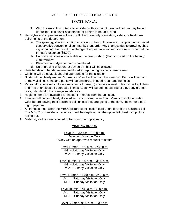## INMATE MANUAL

- f. With the exception of t-shirts, any shirt with a straight hemmed bottom may be left un-tucked. It is never acceptable for t-shirts to be un-tucked.
- 2. Hairstyles and appearances will not conflict with security, sanitation, safety, or health requirements of the department.
	- a. The growing, shaving, cutting or styling of hair will remain in compliance with most conservative conventional community standards. Any changes due to growing, shaving or cutting that result in a change of appearance will require a new ID card at the Inmate's expense (\$5.00).
	- b. Hair care services are available at the beauty shop. (Hours posted on the beauty shop window)
	- c. Bleaching and dying of hair is prohibited.
	- d. No engraving of letters or symbols in hair will be allowed.
- e. Headbands and bandanas are prohibited except during religious ceremonies.
- 3. Clothing will be neat, clean, and appropriate for the situation.
- 4. Shirts will be clearly marked "Corrections" and will be worn buttoned up. Pants will be worn at the waistline. Shirts and pants will be unaltered, in good repair and no holes.
- 5. Personal hygiene will include a minimum of three (3) showers a week. Hair will be kept clean and free of unpleasant odors at all times. Clean will be defined as free of dirt, body oil, lice, ticks, nits, dandruff or foreign substances.
- 6. Hygiene items are available for indigent Inmates from the unit staff.
- 7. Inmates will be completely dressed with shirt tucked in and pants/jeans to include underwear before leaving their assigned cell, unless they are going to the gym, shower or sleeping in pajamas.
- 8. All Inmates must wear the MBCC picture identification card upon leaving the assigned cell. The MBCC picture identification card will be displayed on the upper left chest with picture facing out.
- 9. Maternity clothes are required to be worn during pregnancy.

#### **VISITING HOURS**

Level I: 8:30 a.m. -11:30 a.m. Monday Visitation Only \*\*Only with an approved request to staff\*\*

Level II (med) 1:30 p.m.– 3:30 p.m. A-L – Saturday Visitation Only M-Z – Sunday Visitation Only Level II (min) 11:30 a.m. – 3:30 p.m. A-L – Saturday Visitation Only M-Z – Sunday Visitation Only Level III (med) 11:30 a.m.- 3:30 p.m. A-L Saturday Visitation Only

M-Z Sunday Visitation Only

Level III (min) 9:30 a.m.- 3:30 p.m. A-L Saturday Visitation Only M-Z Sunday Visitation Only

#### Level IV (med) 9:30 a.m.- 3:30 p.m.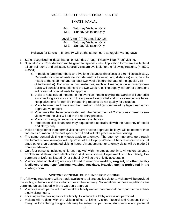#### INMATE MANUAL

| A-L |  |  | <b>Saturday Visitation Only</b> |
|-----|--|--|---------------------------------|
|     |  |  |                                 |

M-Z Sunday Visitation Only

Level IV (min) 7:30 a.m.-3:30 p.m.

A-L Saturday Visitation Only

M-Z Sunday Visitation Only

Holidays for Levels II, III, and IV will be the same hours as regular visiting days.

- 1. State recognized holidays that fall on Monday through Friday will be "Free" visiting.
- 2. Special Visits: Consideration will be given for special visits. Application forms are available at all control rooms and unit staff. Special Visits are available for the following reasons. (4-4500, 4-4501)
	- a. Immediate family members who live long distances (in excess of 150 miles each way). Requests for special visits (to include visitors traveling long distances) must be submitted to the case manager at least two weeks before the date of the special visit (Attachment A). For unusual circumstances, each unit manager on a case-by-case basis will consider exceptions to the two-week rule. The deputy warden of operations will review all special visits for approval.
	- b. Visits to hospitalized Inmates-In the event an Inmate is dying, the warden will authorize a visit as long as a visitor is on the approved visitor's list and on a case-by-case basis. Hospitalizations for non-life threatening reasons do not qualify for visitation.
	- c. Visits between an Inmate and her newborn child (accompanied by legal guardian or approved volunteer).
	- d. Volunteers that have collaborated with the Department of Corrections in re-entry services when the visit will aid in the re-entry process.
	- e. Visits with clergy or social services representatives
	- f. Inmates on disciplinary unit may request for a special visit with their attorney of record and clergy only.
- 3. Visits on days other than normal visiting days or state approved holidays will be no more than two hours duration if time and space permit and will take place in secure visiting.
- 4. The same general visiting privileges apply to attorneys. The attorney must arrange through the Inmate's case manager with approval of the Deputy Warden if he/she wishes to visit at times other than designated visiting hours. Arrangements for attorney visits will be made 24 hours in advance.
- 5. Only four persons, including children, may visit with Inmates at one time. All visitors 16 years or older must show photo identification. A driver's license, Department of Public Safety, Department of Defense issued ID, or school ID will be the only ID acceptable.
- 6. Visitors (adult or children) are only allowed to wear **one wedding ring set, no other jewelry is allowed of any type (earrings, watches, necklace, bracelet, etc.) is prohibited in the visiting room.**

#### **VISITORS GENERAL GUIDELINES FOR VISITING**

The following regulations will be made available to all prospective visitors. Visitors will be provided the visiting schedule and the visitor's rules in their entirety. No variations to these regulations are permitted unless issued with the warden's approval.

- 1. Visitors are not permitted to arrive at the facility earlier than one-half hour prior to the scheduled visiting hours.
- 2. Loitering in the parking lot or the facility, to include the lobby area is not permitted.
- 3. Visitors will register with the visiting officer utilizing "Visitors Record and Consent Form." Every visitor entering the grounds may be subject to pat down, strip, vehicle and personal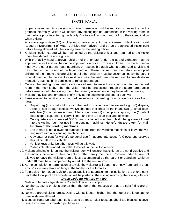#### INMATE MANUAL

property searches. Any person not giving permission will be required to leave the facility grounds. Normally, visitors will secure any belongings not authorized in the visiting room in their vehicle prior to entering the facility. Visitors will sign out and pick up their identification when exiting.

- 4. All visitors age sixteen (16) or older must have a current driver's license or identification card issued by Department of Motor Vehicles (non-drivers) and be on the approved visitor card before being allowed into the visiting area by the visiting officer.
- 5. All identification card(s) will be maintained by the visiting officer and returned to the visitor upon their departure and sign out.
- 6. With the facility head approval, children of the Inmate (under the age of eighteen) may be approved to visit and will be on the approved visitor card. These children must be accompanied by the other parent, legal guardian, or responsible adult who is authorized to visit and has notarized permission of the legal guardian. These children must be natural or adopted children of the Inmate they are visiting. All other children must be accompanied by the parent or legal guardian. In the event a question arises, the visitor may be required to provide documentation, such as birth certificate to reflect parentage.
- 7. Once in the visiting room, visitors are only allowed to leave the visiting room to use the rest room in the main lobby. Then the visitor must be processed through the search area again before re-entry into the visiting room. No re-entry allowed once they have left the building.
- 8. Visitors may kiss and embrace briefly only at the beginning and end of each visit.
- 9. Items allowed to be taken into the medium security unit visiting room by visitors are as follows:
	- a. Diaper bag (if a small child is with the visitor), contents not to exceed eight (8) diapers, three (3) see through bottles, two (2) changes of clothes for the infant, two (2) small blankets, two (2) factory sealed jars of baby food, one (1) small plastic spoon, one (1) infant clear sippee cup, one (1) carryall seat, and one (1) clear package of wipes.
	- b. Only quarters not to exceed \$50.00 and contained in a clear plastic baggie are allowed into the visiting room for use in the vending machines. **No refunds are given for malfunction of the vending machines.**
	- c. The Inmate is not allowed to purchase items from the vending machines or leave the visiting room with any vending machine item.
	- d. A sweater or coat for visitor's personal use (in appropriate season). Gloves and scarves should be left in the vehicle.
	- e. Vehicle keys only. No other keys will be allowed.
	- f. Collapsible, flat-ended umbrella, to be left in the visitor lockers.
- 10. Visitors bringing children into the visiting room will ensure that children are not disruptive and are under supervision of their parents or other family members. Children under 18 are not allowed to leave the visiting room unless accompanied by the parent or guardian. Children under 18 must be accompanied by an adult to the rest rooms.
- 11. At the completion or termination of a visit, the visitor(s) will depart promptly from facility property. Visitors may leave nothing at the facility for the Inmates.
- 12. To provide information to visitors about public transportation to the institution, the phone number to the local public transportation will be posted in the visiting rooms by the visiting officers.

# *Dress Code for Visitors (4-4499)*

- 1. Male and females age eleven (11) and older must comply.
- 2. No shorts, skorts or skirts shorter than the top of the kneecap or that are tight fitting are allowed.
- 3. No wrap-around skirts, dresses/skirts with split-seam higher than the top of the knee cap, or mini-skirts are allowed.
- 4. Blouses/Tops: No tube-tops, tank-tops, crop-tops, halter tops, spaghetti-top blouses, sleeveless, transparent, or mesh tops/ blouses.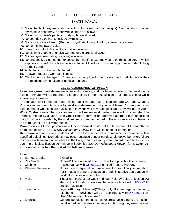#### INMATE MANUAL

- 5. No white/black/gray tee shirts (no solid color or with logo or designs). No gray shirts of other styles, blue chambray, or periwinkle shirts are allowed.
- 6. No leggings, biker's pants, or body suits are allowed.
- 7. No spandex clothing, to include swimsuits.
- 8. No flip-flops are allowed. (Rubber or synthetic thong, flip-flop, shower type shoe)
- 9. No tight fitting sweat suits.
- 10. Low-cut or cutout design clothing is not allowed.
- 11. No clothing bearing offensive wording or pictures is allowed.
- 12. No headgear (excluding religious) is allowed.
- 13. No provocative clothing that exposes the midriff, is extremely tight, off the shoulder, or which exposes any part of the breast is acceptable. All visitors must wear appropriate underclothing for their gender.
- 14. All buttons must be kept buttoned.
- 15. Footwear must be worn at all times.
- 16. Children above the age of 11 years must comply with the dress code for adults unless they are restricted by handicap or medical reasons.

# **LEVEL GUIDELINES (OP 060107)**

**Level assignment** will determine accessibility, quality, and privileges as follows. For level identification, Inmates will be required to keep their ID in their possession at all times, except while showering or sleeping.

The Inmate level is the sole determining factor in state pay (exceptions are OCI and Citadel). Promotions and demotions are by level and determined by your unit team. You may ask your case manager what jobs are available. If they know of any open positions, they will inform you.

**Work Evaluations** - The work supervisor will review work performance with the Inmate. The "Monthly Inmate Evaluation Time Credit Report" form or an approved alternate form specific to the job will be completed by the work supervisor and forwarded to the unit classification team by the third day of the following month.

**Promotions** – All level promotions will be scheduled to start at the beginning of the month the promotion occurs. The *120-Day Adjustment Review* form will be used for promotion.

**Demotions –** Inmates may be demoted in level/pay due to failure to maintain performance within specified guidelines. Demotions may occur because of poor conduct, disruptive behavior, failure to comply with sanitation guidelines in the living area or of your person. In order to effect a demotion, the unit classification committee will submit a *120-Day Adjustment Review* form. **Level demotions are effective the first of the following month.**

#### **Level I**

| 1. Earned Credits     | 0 Credits                                                                                                                                                                         |
|-----------------------|-----------------------------------------------------------------------------------------------------------------------------------------------------------------------------------|
| 2. Pay Grade          | None-Will be evaluated after 30 days for a possible level change                                                                                                                  |
| 3. Clothing           | In accordance with OP-030120 entitled "Inmate Property.                                                                                                                           |
| 4. Planned Recreation | None- If on a segregation housing unit for disciplinary segregation.<br>For Inmates in general population or administrative segregation in-<br>dividual activities are permitted. |
| 5. Visits             | 1 hour non-contact per week and legal / clergy visits, unless on DU<br>status. If on DU status visits will be in accordance with OP-030118<br>entitled "Visitation."              |
| 6. Telephone          | Legal (Attorney of Record)/Clergy only. If in segregation housing,<br>privileges will be in accordance with OP-040204 en-<br>telephone<br>titled "Segregation Measures."          |
| 7. Exercise           | General population Inmates may exercise according to the institu-<br>tional schedule. Inmates in segregation housing may exercise one                                             |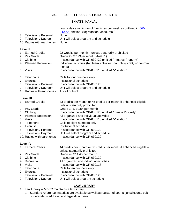#### INMATE MANUAL

| 8. Television / Personal<br>9. Television / Dayroom<br>10. Radios with earphones | hour a day a minimum of five times per week as outlined in OP-<br>040204 entitled "Segregation Measures."<br>None<br>Unit will select program and schedule<br>None |
|----------------------------------------------------------------------------------|--------------------------------------------------------------------------------------------------------------------------------------------------------------------|
| Level II<br>1. Earned Credits                                                    | 22 Credits per month – unless statutorily prohibited                                                                                                               |
| 2. Pay Grade                                                                     | Grade 2 - \$7.23per month (4-4461)                                                                                                                                 |
| 3. Clothing                                                                      | In accordance with OP-030120 entitled "Inmates Property"                                                                                                           |
| 4. Planned Recreation                                                            | Individual activities (No team activities, no hobby craft, no tourna-<br>ments)                                                                                    |
| 5. Visits                                                                        | In accordance with OP-030118 entitled "Visitation"                                                                                                                 |
|                                                                                  |                                                                                                                                                                    |
| 6. Telephone                                                                     | Calls to four numbers only                                                                                                                                         |
| 7. Exercise<br>8. Television / Personal                                          | Institutional schedule<br>In accordance with OP-030120                                                                                                             |
| 9. Television / Dayroom                                                          | Unit will select program and schedule                                                                                                                              |
| 10. Radios with earphones                                                        | At cell or bunk                                                                                                                                                    |
|                                                                                  |                                                                                                                                                                    |
| <b>Level III</b>                                                                 |                                                                                                                                                                    |
| 1. Earned Credits                                                                | 33 credits per month or 45 credits per month if enhanced eligible –<br>unless statutorily prohibited                                                               |
| 2. Pay Grade                                                                     | Grade 3 - \$10.84 per month                                                                                                                                        |
| Clothing<br>3.                                                                   | In accordance with OP-030120 entitled "Inmate Property"                                                                                                            |
| <b>Planned Recreation</b><br>4.                                                  | All organized and individual activities                                                                                                                            |
| 5.<br><b>Visits</b>                                                              | In accordance with OP-030118 entitled "Visitation"                                                                                                                 |
| Telephone<br>6.                                                                  | Calls to eight numbers only                                                                                                                                        |
| 7. Exercise                                                                      | Institutional schedule                                                                                                                                             |
| 8. Television / Personal                                                         | In accordance with OP-030120                                                                                                                                       |
| 9. Television / Dayroom                                                          | Unit will select program and schedule                                                                                                                              |

10. Radios with earphones In accordance with OP-030120

#### **Level IV**

1. Earned Credits 44 credits per month or 60 credits per month if enhanced eligible –

unless statutorily prohibited

- 2. Pay Grade Grade 4 \$14.45 per month
- 3. Clothing In accordance with OP-030120<br>4. Recreation All organized and individual acti
- 4. Recreation All organized and individual activities
- 5. Visits In accordance with OP-030118<br>6. Telephone Calls to ten numbers only
- Calls to ten numbers only
- 7. Exercise **Institutional schedule**<br>8. Television / Personal In accordance with O
- In accordance with OP-030120
- 9. Television / Dayroom Unit will select program schedule

# **LAW LIBRARY**

- 1. Law Library MBCC maintains a law library.
	- a. Standard reference materials are available as well as register of courts, jurisdictions, public defender's address, and legal directories.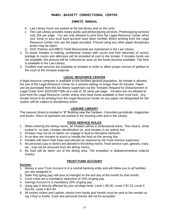#### INMATE MANUAL

- b. Law Library hours are posted at the law library and on the units
- c. The Law Library provides notary public and photocopying services. Photocopying services cost 25¢ per page. You are only allowed to print from the Legal Resource Center when your funds in your trust fund account have been verified. When printing from the Legal Resource Center only use the paper provided. If found using any other paper disciplinary action may be taken.
- d. DOC Policies and MBCC Field Memoranda are maintained in the Law Library.
- 2. To assist Inmates in making confidential contact with courts and their attorneys of record, postage to courts and attorneys will be provided at cost to the Inmate. If Inmates funds are not available, the amount will be collected as soon as the funds become available. The form is available in the Law Library.
- 3. Certified mail services are available to Inmates in order to affect proper service of petition to the court at the Inmates expense.

#### **LEGAL RESOURCE CENTER**

A legal resource computer is available to the facilities general population. An inmate is allowed the use of the Legal Resource Center for a session lasting no longer than 30 minutes. Paper can be purchased from the law library supervisor via the "Inmates Request for Disbursement of Legal Costs" form (DOC030115A) at a cost of .25 cents per page. Inmates are not allowed to print from the Legal Resource Center unless they have funds available in their trust fund. Any inmate found to be printing from the Legal Resource Center on any paper not designated for the system will be subject to disciplinary action

#### **LEISURE LIBRARY**

The Leisure Library is located in "B" Building near the Canteen. It provides periodicals, magazines and books. Hours of operation are posted in the housing units and in the Library.

#### **FOOD SERVICE RULES**

- 1. When entering the dining rooms, all Inmates will be in professional dress. This means, shirts tucked in, no hats, Inmates identification on, and Inmates in an orderly line.
- 2. Inmates may not sit on tables nor engage in loud or disruptive behavior.
- 3. At no time are Inmates to touch or handle the food on the serving line.
- 4. Inmates will return their trays and utensils as required by the Food Service supervisor.
- 5. No personal cups or dishes are allowed in the dining rooms. Food service cups, glasses, trays, etc., may not be removed from the dining rooms.
- 6. No food will be taken out of the dining area. The exception is diabetics/medical ordered snacks.

#### **TRUST FUND ACCOUNT**

#### **Income:**

- 1. Money in your Trust Account is in a central banking entity and will follow you to all facilities you are assigned to.
- 2. State Pay (gang pay) will post at midnight on the last day of the month for that month.
- 3. Court costs are a mandatory deduction of 10% of gang pay.
- 4. Savings Account is a mandatory 20% of gang pay.
- 5. Gang pay is directly affected by your privilege level, Level 1 \$0.00, Level 2 \$7.23, Level 3 \$10.84, Level 4 \$14.45
- 6. All money orders and cashier checks from family and friends must be sent to the inmate using J-Pay or Keefe. Cash and personal checks will not be accepted.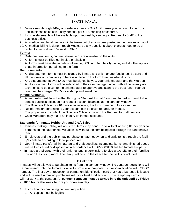# INMATE MANUAL

- 7. Money sent through J-Pay or Keefe in excess of \$499 will cause your account to be frozen until business office can justify deposit, per OBS banking procedures.
- 8. Income statements will be available upon request by sending a "Request to Staff" to the business office.
- 9. All medical and legal co-pays will be taken out of any income posted to the inmates account.
- 10. All medical billing is done through Medical so any questions about charges need to be directed to medical via "Request to Staff".

#### **Forms:**

- 1. Disbursement forms, canteen draws, etc. are available on the units.
- 2. All forms must be filled out in blue or black ink.
- 3. All forms must have the inmate's full name, DOC number, facility name, and all other appropriate information pertaining to the form.

#### **Disbursements:**

- 1. All disbursement forms must be signed by inmate and unit manager/designee. Be sure and fill the forms out completely. There is a place on the form to tell us what it is for.
- 2. Any disbursements over \$499 must be signed by you, your unit manager and the Warden.
- 3. All disbursement forms will be submitted to the case manager, along with all necessary attachments, to be given to the unit manager to approve and scan to the trust fund. Your account will be charged \$0.55 for a stamp and envelope.

#### **Inmate Accounts:**

- 1. All requests must be submitted through a "Request to Staff" form and turned in to unit to be sent to business office, do not request account balances at the canteen window.
- 2. The Business Office has 10 days after receiving the form to respond to your request.
- 3. No information pertaining to your account can be given to family or friends.
- 4. The proper way to contact the Business Office is through the Request to Staff process.
- 5. Case Managers may make an inquiry on inmate accounts.

#### **Standards for inmate Hobby, Art, and Craft Sales:**

- 1. Inmates making hobby, art and craft items may send up to a total of six gifts per year to persons on their authorized visitation list without the item being sold through the canteen system.
- 2. Employees and the public may purchase inmate hobby, art and craft items through the facility's canteen according to local procedures.
- 3. Upon inmate transfer all inmate art and craft supplies, incomplete items, and finished goods will be transferred or disposed of in accordance with OP-0303120 entitled Inmate Property.
- 4. Inmates are allowed, with their unit manager's permission, to give arts/crafts to their families through the visiting room. The family will pick up the item after the visit is concluded.

#### **CANTEEN**

Inmates will be allowed to purchase items from the canteen window. No canteen requisitions will be processed until the Inmate is able to provide appropriate picture identification with ODOC number. The first day of reception, a permanent identification card that has a bar code is issued and will be used in making purchases with your trust fund account. The temporary cards will not work at the canteen. **All canteen requests must be turned in to the unit staff by Friday at 1000 hours the week before your canteen day.**

- 1. Instruction for completing canteen requisition:
	- a. All copies must be legible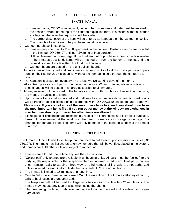#### INMATE MANUAL

- b. Inmates name, ODOC number, unit, cell number, signature and date must be entered in the space provided at the top of the canteen requisition form. It is essential that all entries are legible otherwise the requisition will be voided.
- c. The correct description of the item will be entered as it appears on the canteen price list.
- d. The quantity of each item to be purchased must be entered.
- 2. Canteen purchase limitations:
	- a. Inmates may spend up to \$140.00 per week in the canteen. Postage stamps are included in the limit per OP 060107 entitled, "Systems of Incarceration."
	- b. SHU Delivered in brown bags. If the total amount of purchase exceeds funds available in the Inmates trust fund, items will be marked off from the bottom of the list until the request is equal to or less than the trust fund balance.
	- c. Canteen hours are posted on the unit bulletin boards.
- 3. Inmates making hobby, art and crafts items may send up to a total of six gifts per year to persons on their authorized visitation list without the item being sold through the canteen system.
- 4. The Canteen is closed for inventory on the last two (2) working days of the month.
- 5. All canteen prices are subject to change without notice. When possible, advance notice of price changes will be posted in an area accessible to all Inmates.
- 6. Money received will be posted to the Inmates account within 48 hours of receipt. At that time, the money is available to spend.
- 7. Upon inmate transfer all inmate art and craft supplies, incomplete items, and finished goods will be transferred or disposed of in accordance with "OP-0303120 entitled Inmate Property".
- 8. Please note: **If you are not sure of the amount available to spend, you should purchase the most important items first. If you run out of money at the window, no exchanges in merchandise already purchased for other items are allowed.**
- 9. It is responsibility of the Inmate to maintain a receipt of all purchases, as it is proof of purchase. Items will be examined at the window at the time of issuance for spoilage or damage. Exchanges for damaged or spoiled items will only be made at the canteen window at the time of purchase.

# **TELEPHONE PROCEDURES**

The Inmate will be allowed to list telephone numbers to call based upon classification level (OP 060107). The Inmate may list two (2) attorney numbers that will be verified, placed in the system, and unmonitored. All other calls are subject to monitoring.

- 1. Inmates are allowed phone time anytime the yard is open.
- 2. "Collect call" only phones are available in all housing units. All calls must be "collect" to the party legally responsible for the telephone charges incurred. Credit card, third party, conference, transfer, calls forwarding, three-way, or third number billing calls are not authorized unless initiated by staff. Calls outside the continental U.S. are not authorized.
- 3. The Inmate is limited to 15 minutes of phone time.
- 4. Calls to "information" are not authorized. With the exception of the Inmates attorney of record, calls to businesses are unauthorized.
- 5. The telephone will not be used for illegal activities and/or to violate MBCC regulations. The Inmate may not use any type of alias when using the phone.
- 6. Life threatening, profane, or abusive language will not be tolerated and is subject to disciplinary action.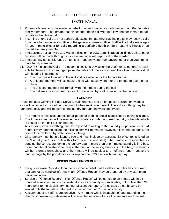#### INMATE MANUAL

- 7. Phone calls are not to be made on behalf of other Inmates. Or calls made to another Inmates family members. The Inmate that places the phone call will not allow another Inmate to participate in the phone call.
- 8. Incoming phone calls are not authorized, except Inmate who is acting pro se may receive calls from the attorney general's office or the general counsel's office. Staff will not take messages for any Inmate except for calls regarding a verifiable death or life threatening illness of an immediate family member.
- 9. Inmates may not call MBCC, Division offices or the DOC administration building. Calls to other facilities will be made through your case manager with approval of the warden.
- 10. Inmates may not solicit funds or items of monetary value from anyone other than your immediate family member.
- 11. TDD/TTY Telephone Calls Telecommunications Device for the Deaf (text telephone) is available for the use of the hearing-impaired Inmates or Inmates who need to call another individual with hearing impairments.
	- a. The machine is located on the unit and is available for the Inmate to use.
	- b. A unit staff member will schedule a time with security staff for the Inmate to use the machine.
	- c. The unit staff member will remain with the Inmate during the call.
	- d. The call may be monitored by direct observation by staff or review of the printout.

#### **LAUNDRY**

Those Inmates working in Food Service, Maintenance, and other special assignment work areas will be issued extra clothing pertinent to their work assignment. The extra clothing may be laundered daily and will be sent to the laundry through the work supervisor.

- 1. The Inmate is held accountable for all personal clothing and all state issued clothing assigned.
- 2. The Inmates laundry will be washed in accordance with the current laundry schedule, which is posted on the unit bulletin boards.
- 3. Any missing item of clothing must be reported in writing to the Laundry Supervisor within 24 hours. Every effort to locate the missing item will be made; however, if it cannot be found, the item will be replaced by state issued clothing.
- 4. Dirty laundry must be in a laundry bag and must include an accurate list of contents listed on the "Laundry List" (you obtain this form from the unit staff). The Inmate is responsible for sending the correct laundry in the laundry bag. If more than one Inmates laundry is in a bag, more than the allowable amount is in the bag, or the wrong laundry is in the bag, the laundry will be returned unwashed, and the Inmate will be subject to an offense report. Leave the laundry bags by the pod doors for pickup prior to 5:30 a.m. each laundry day.

#### **DISCIPLINARY PROCEDURES**

- 1. Filing of Offense Report Upon the reasonable belief that a violation of rules has occurred that cannot be handled informally; an "Offense Report" may be prepared by any staff member or volunteer.
- 2. Service of "Offense Report" The "Offense Report" will be served to an Inmate within 24 hours after assignment to an investigator, or as promptly as practicable, but no less than 24 hours prior to the disciplinary hearing. Misconduct reports for escape do not have to be served until the Inmate is returned to a Department of Corrections facility.
- 3. Assignment of a Staff Representative Any Inmate who is incapable of understanding the charge or presenting a defense will receive the services of a staff representative to assist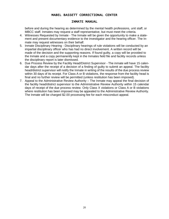#### INMATE MANUAL

before and during the hearing as determined by the mental health professions, unit staff, or MBCC staff. Inmates may request a staff representative, but must meet the criteria.

- 4. Witnesses Requested by Inmate The Inmate will be given the opportunity to make a statement and present documentary evidence to the investigator and the hearing officer. The Inmate may request witnesses on their behalf.
- 5. Inmate Disciplinary Hearing Disciplinary hearings of rule violations will be conducted by an impartial disciplinary officer who has had no direct involvement. A written record will be made of the decision and the supporting reasons. If found guilty, a copy will be provided to the Inmate and a copy permanently kept in the Inmates field file and facility records unless the disciplinary report is later dismissed.
- 6. Due Process Review by the Facility Head/District Supervisor The inmate will have 15 calendar days after the receipt of a decision of a finding of guilty to submit an appeal. The facility head/district supervisor will notify the Inmate in writing of the results of the due process review within 30 days of its receipt. For Class A or B violations, the response from the facility head is final and no further review will be permitted (unless restitution has been imposed).
- 7. Appeal to the Administrative Review Authority The Inmate may appeal the final decision of the facility head/district supervisor to the Administrative Review Authority within 15 calendar days of receipt of the due process review. Only Class X violations or Class A or B violations where restitution has been imposed may be appealed to the Administrative Review Authority. The Inmate will be charged \$2.00 processing fee for each misconduct appeal.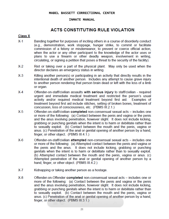# INMATE MANUAL

# **ACTS CONSTITUTING RULE VIOLATION**

# **Class X**

- $X-1$ Banding together for purposes of inciting others in a course of disorderly conduct (e.g., demonstration, work stoppage, hunger strike, to commit or facilitate commission of a felony or misdemeanor, to prevent or coerce official action, when the actor or any other participant to the knowledge of the actor uses or plans to use a firearm or other deadly weapon, involvement in writing. circulating, or signing a petition that poses a threat to the security of the facility).
- $X-2$ Riot or taking over a part of the physical plant. May only be used when the director declares an emergency status in writing.
- $X-3$ Killing another person(s) or participating in an activity that directly results in the intentional death of another person. Includes any attempt to cause grave injury to another person rendering that person brain dead or left with the loss of a limb or organ.
- $X-4$ Offender-on-staff/civilian assaults with serious injury to staff/civilian - required urgent and immediate medical treatment and restricted the person's usual activity and/or required medical treatment beyond first aid. Examples of treatment beyond first aid include stitches, setting of broken bones, treatment of concussion, loss of consciousness, etc. (PBMS III.2.1.)
- $X-5$ Offender-on-staff/civilian completed non-consensual sexual acts – includes one or more of the following: (a) Contact between the penis and vagina or the penis and the anus involving penetration, however slight. It does not include kicking, grabbing or punching genitals when the intent is to harm or debilitate rather than to sexually exploit. (b) Contact between the mouth and the penis, vagina or anus. (c) Penetration of the anal or genital opening of another person by a hand, finger, or other object. (PBMS III.4.1.)
- $X-6$ Offender-on-staff/civilian attempted non-consensual sexual acts - includes one or more of the following: (a) Attempted contact between the penis and vagina or the penis and the anus. It does not include kicking, grabbing or punching genitals when the intent is to harm or debilitate rather than to sexually exploit. (b) Attempted contact between the mouth and the penis, vagina or anus. (c) Attempted penetration of the anal or genital opening of another person by a hand, finger, or other object. (PBMS III.4.2.)
- X-7 Kidnapping or taking another person as a hostage.
- $X-8$ Offender-on-Offender completed non-consensual sexual acts – includes one or more of the following: (a) Contact between the penis and vagina or the penis and the anus involving penetration, however slight. It does not include kicking, grabbing or punching genitals when the intent is to harm or debilitate rather than to sexually exploit. (b) Contact between the mouth and the penis, vagina or anus. (c) Penetration of the anal or genital opening of another person by a hand. finger, or other object. (PBMS III.3.1.)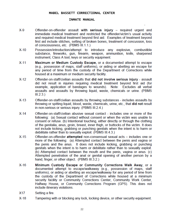#### INMATE MANUAL

- $X-9$ Offender-on-offender assault with serious injury - required urgent and immediate medical treatment and restricted the offender/victim's usual activity and required medical treatment beyond first aid. Examples of treatment beyond first aid include stitches, setting of broken bones, treatment of concussion, loss of consciousness, etc. (PBMS III.1.1.)
- $X-10$ Possession/introduction/attempt to introduce any explosive, combustible substance, fireworks, gun, firearm, weapon, ammunition, knife, sharpened instrument, Class A tool, keys or security equipment.
- $X-11$ Maximum or Medium Custody Escape, or a documented attempt to escape (e.g., possession of maps, staff uniforms), or aiding or abetting an escape for any period of time from the custody of the Department of Corrections while housed at a maximum or medium security facility.
- $X-12$ Offender-on-staff/civilian assaults that did not involve serious injury - assault did not result in injuries requiring medical treatment beyond first aid (for example, application of bandages to wounds). Note: Excludes all verbal assaults and assaults by throwing liquid, waste, chemicals or urine. (PBMS  $III.2.3.$
- $X-13$ Offender-on-staff/civilian assaults by throwing substances - includes assaults by throwing or spitting liquid, blood, waste, chemicals, urine, etc., that did not result in non-serious or serious injury. (PBMS III.2.4.)
- Offender-on-staff/civilian abusive sexual contact includes one or more of the  $X-14$ following: (a) Sexual contact without consent or when the victim was unable to consent or refuse. (b) Intentional touching, either directly or through the clothing of the genitalia, anus, groin, breast, inner thigh, or buttocks of the victim. It does not include kicking, grabbing or punching genitals when the intent is to harm or debilitate rather than to sexually exploit. (PBMS III.4.3.)
- $X-15$ Offender-on-offender attempted non-consensual sexual acts - includes one or more of the following: (a) Attempted contact between the penis and vagina or the penis and the anus. It does not include kicking, grabbing or punching genitals when the intent is to harm or debilitate rather than to sexually exploit. (b) Attempted contact between the mouth and the penis, vagina or anus. (c) Attempted penetration of the anal or genital opening of another person by a hand, finger, or other object. (PBMS III.3.2.)
- $X-16$ Minimum Custody Escape or Community Corrections Walk Away, or a documented attempt to escape/walkaway (e.g., possession of maps, staff uniforms), or aiding or abetting an escape/walkaway for any period of time from the custody of the Department of Corrections while housed at a minimum security facility or Community Corrections Center, Community Work Center, Halfway House, or Community Corrections Program (GPS). This does not include itinerary violations.
- X17 Setting a fire.
- $X-18$ Tampering with or blocking any lock, locking device, or other security equipment.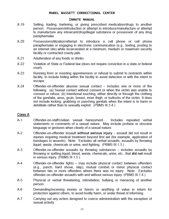# INMATE MANUAL

- $X-19$ Selling, trading, bartering, or giving prescribed medication/drugs to another person. Possession/introduction or attempt to introduce/manufacture or attempt to manufacture any intoxicant/drug/illegal substance or possession of any drug paraphernalia.
- $X-20$ Possession/utilization/attempt to introduce a cell phone or cell phone paraphernalia or engaging in electronic communication (e.g., texting, posting to an internet site) while incarcerated at a minimum, medium or maximum security facility or contracted county jails.
- $X-21$ Adulteration of any foods or drinks.
- $X-22$ Violation of State or Federal law (does not require conviction in a state or federal court).
- $X-23$ Running from or resisting apprehension or refusal to submit to restraints within facility, to include hiding within the facility to avoid detection or with the intent to escape.
- $X-24$ Offender-on-offender abusive sexual contact – includes one or more of the following: (a) Sexual contact without consent or when the victim was unable to consent or refuse. (b) Intentional touching, either directly or through the clothing of the genitalia, anus, groin, breast, inner thigh, or buttocks of the victim. It does not include kicking, grabbing or punching genitals when the intent is to harm or debilitate rather than to sexually exploit. (PBMS III.3.4.)

# **Class A**

- $A-1$ Offender-on-staff/civilian sexual harassment. Includes repeated verbal statements or comments of a sexual nature. May include profane or obscene language or gestures when clearly of a sexual nature.
- A-2 Offender-on-offender assault without serious injury - assault did not result in injuries requiring medical treatment beyond first aid (for example, application of bandages to wounds). Note: Excludes all verbal assaults, assaults by throwing liquid, waste, chemicals or urine, and fighting. (PBMS III.1.3.)
- $A-3$ Offender-on-offender assaults by throwing substances - includes assaults by throwing or spitting liquid, blood, waste, chemicals, urine, etc., that did not result in serious injury. (PBMS III.1.5.)
- $A-4$ Offender-on-offender fights - may include physical contact between offenders (e.g., punch, hard shove, slap), mutual combat or minor physical contact between two or more offenders where there was no injury. Note: Excludes offender-on-offender assaults with and without serious injury. (PBMS III.1.4.)
- $A-5$ Physical or verbal threatening, intimidation, bullying or menacing of another person.
- Demanding/receiving money or favors or anything of value in return for A-6 protection against others, to avoid bodily harm, or under threat of informing.
- $A 7$ Carrying out any action designed to coerce administration with the exception of sexual activity.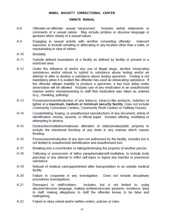#### INMATE MANUAL

- $A-8$ Offender-on-offender sexual harassment. Includes verbal statements or comments of a sexual nature. May include profane or obscene language or gestures when clearly of a sexual nature.
- $A-9$ Engaging in sexual activity with another consenting offender. Indecent exposure, to include urinating or defecating in any location other than a toilet, or masturbating in view of others.
- $A-10$ Bestiality.
- $A-11$ Outside defined boundaries of a facility as defined by facility or present in a restricted area
- $A-12$ Under the influence of and/or any use of illegal drugs, alcohol, intoxicating substances and/or refusal to submit to substance abuse testing and/or an attempt to alter or destroy a substance abuse testing specimen. Testing is not mandatory when it is evident the offender has used an intoxicating substance. If the offender alleges inability to produce a specimen, a two hour delay under observation will be allowed. Includes use of any medication in an unauthorized manner and/or misrepresenting to staff that medication was taken as ordered (e.g., cheeking, palming).
- $A-13$ Possession/use/introduction of any tobacco, tobacco-like products, matches or lighter at a maximum, medium or minimum security facility. Does not include Community Corrections Centers, Community Work Centers or Halfway Houses.
- $A-14$ Counterfeiting, forging, or unauthorized reproductions of any document, article of identification, money, security, or official paper. Includes altering, mutilating or attempting to destroy.
- $A-15$ Destruction/mutilation/malicious alteration of state/private/public property to include the intentional blocking of any drain in any manner which causes flooding.
- $A-16$ Possession/introduction of any item not authorized by the facility; includes but is not limited to unauthorized identification and unauthorized tool.
- $A-17$ Breaking into a room/locker or taking/destroying the property of another person.
- $A-18$ Tattooing or possession of tattoo paraphernalia/self-mutilation; to include body piercings or any attempt to inflict self-injury or ingest any harmful or poisonous substance.
- $A-19$ Refusal of medical care/appointment after transportation to an outside medical facility.
- $A-20$ Failure to cooperate in any investigation. Does not include disciplinary procedures investigations.
- $A-21$ Disrespect to staff/civilians. Includes, but is not limited to, using abusive/obscene language, making profane/obscene gestures, insolence, lying to staff, making allegations to staff the offender knows to be false and malingering.
- $A-22$ Failure to obey verbal and/or written orders, policies or rules.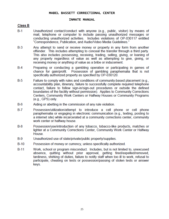#### INMATE MANUAL

# **Class B**

- $B-1$ Unauthorized contact/conduct with anyone (e.g., public, visitor) by means of mail, telephone or computer to include passing unauthorized messages or conducting unauthorized activities. Includes violations of OP-030117 entitled "Correspondence, Publication, and Audio/Video Media Guidelines."
- $B-3$ Any attempt to send or receive money or property in any form from another offender. This includes attempting to conceal the transfer through a third party. This also includes possessing, receiving, trading, selling, giving, or loaning of any property regardless of value as well as attempting to give, giving, or receiving money or anything of value as a bribe or inducement.
- $B-4$ Preparing or conducting a gambling operation or participating in games of chance for gain/profit. Possession of gambling paraphernalia that is not specifically authorized property as specified by OP-030120.
- $B-5$ Failure to comply with rules and conditions of community-based placement (e.g., accountability plan, itinerary, failure to successfully complete required telephone contact, failure to follow sign-in/sign-out procedures or outside the defined boundaries of the facility without permission). Applies to Community Corrections Centers, Community Work Centers or Halfway Houses or Community Programs (e.g., GPS) only.
- $B-6$ Aiding or abetting in the commission of any rule violation.
- $B-7$ Possession/utilization/attempt to introduce a cell phone or cell phone paraphernalia or engaging in electronic communication (e.g., texting, posting to a internet site) while incarcerated at a community corrections center, community work center or halfway house.
- $B-8$ Possession/use/introduction of any tobacco, tobacco-like products, matches or lighter at a Community Corrections Center, Community Work Center or Halfway House.
- $B-9$ Unauthorized use of state/private/public property/supplies.
- $B-10$ Possession of money or currency, unless specifically authorized.
- $B-11$ Work, school or program misconduct. Includes, but is not limited to, unexcused absence, quitting without prior approval, getting fired/expelled/removed, tardiness, shirking of duties, failure to notify staff when too ill to work, refusal to participate, cheating on tests or possession/passing of stolen tests or answer keys.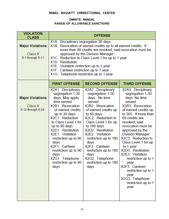# INMATE MANUAL **RANGE OF ALLOWABLE SANCTIONS**

| <b>VIOLATION</b><br><b>CLASS</b>                        | <b>OFFENSE</b>                                                                                                                                                                                                                                                                                                                                                                                                    |                                                                                                                                                                                                                                                                                                                                                                           |                                                                                                                                                                                                                                                                                                                                                                                                                                                                                    |  |
|---------------------------------------------------------|-------------------------------------------------------------------------------------------------------------------------------------------------------------------------------------------------------------------------------------------------------------------------------------------------------------------------------------------------------------------------------------------------------------------|---------------------------------------------------------------------------------------------------------------------------------------------------------------------------------------------------------------------------------------------------------------------------------------------------------------------------------------------------------------------------|------------------------------------------------------------------------------------------------------------------------------------------------------------------------------------------------------------------------------------------------------------------------------------------------------------------------------------------------------------------------------------------------------------------------------------------------------------------------------------|--|
| <b>Major Violations</b><br>Class X<br>X-1 through X-11  | X1A. Disciplinary segregation 30 days.<br>X1B. Revocation of earned credits up to all earned credits. If<br>more than 60 credits are revoked, said revocation must be<br>approved by the Division Manager<br>X1C. Reduction to Class Level 1 for up to 1 year<br>X1D. Restitution<br>X1E. Visitation restriction up to 1 year<br>X1F. Canteen restriction up to 1 year<br>X1G. Telephone restriction up to 1 year |                                                                                                                                                                                                                                                                                                                                                                           |                                                                                                                                                                                                                                                                                                                                                                                                                                                                                    |  |
|                                                         | <b>FIRST OFFENSE</b>                                                                                                                                                                                                                                                                                                                                                                                              | <b>SECOND OFFENSE</b>                                                                                                                                                                                                                                                                                                                                                     | <b>THIRD OFFENSE</b>                                                                                                                                                                                                                                                                                                                                                                                                                                                               |  |
| <b>Major Violations</b><br>Class X<br>X-12 through X-24 | X2A1. Disciplinary<br>segregation 1-30<br>days. May apply<br>time served.<br>X2B1. Revocation<br>of earned credits<br>up to 30 days<br>X2C1. Reduction<br>to Class Level 1 for<br>up to 90 days<br>X2D1. Restitution<br>X2E1. Visitation<br>restriction up to 90<br>days<br>X2F1. Canteen<br>restriction up to 90<br>days<br>X2G1. Telephone<br>restriction up to 90<br>days                                      | X2A2. Disciplinary<br>segregation 1-30<br>days. No time<br>served.<br>X2B2. Revocation<br>of earned credits up<br>to 60 days<br>X2C2. Reduction to<br>Class Level 1 for up<br>to 180 days<br>X2D2. Restitution<br>X2E2. Visitation<br>restriction up to 180<br>days<br>X2F2. Canteen<br>restriction up to 180<br>days<br>X2G2. Telephone<br>restriction up to 180<br>days | X2A3. Disciplinary<br>segregation 1-30<br>days. No time<br>served.<br>X2B3. Revocation<br>of earned credits up<br>to 365. If more than<br>60 credits are<br>revoked, said<br>revocation must be<br>approved by the<br><b>Division Manager</b><br>X2C3. Reduction to<br>Class Level 1 for up<br>to 1 year<br>X2D3. Restitution<br>X2E3. Visitation<br>restriction up to 1<br>year<br>X2F3. Canteen<br>restriction up to 1<br>year<br>X2G3. Telephone<br>restriction up to 1<br>year |  |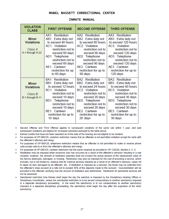#### INMATE MANUAL

| <b>VIOLATION</b><br><b>CLASS</b>                                 | <b>FIRST OFFENSE</b>                                                                                                                                                                                                                                 | <b>SECOND OFFENSE</b>                                                                                                                                                                                                                                | <b>THIRD OFFENSE</b>                                                                                                                                                                                                                          |
|------------------------------------------------------------------|------------------------------------------------------------------------------------------------------------------------------------------------------------------------------------------------------------------------------------------------------|------------------------------------------------------------------------------------------------------------------------------------------------------------------------------------------------------------------------------------------------------|-----------------------------------------------------------------------------------------------------------------------------------------------------------------------------------------------------------------------------------------------|
| <b>Minor</b><br><b>Violations</b><br>Class A<br>A-1 through A-22 | AA1. Restitution<br>AB1. Extra duty not<br>to exceed 40 hours<br>AC1. Visitation<br>restriction not to<br>exceed 60 days<br>AD1. Telephone<br>restriction not to<br>exceed 60 days<br>AE1. Canteen<br>restriction for up<br>to 60 days               | AA2. Restitution<br>AB2. Extra duty not<br>to exceed 80 hours<br>AC2. Visitation<br>restriction not to<br>exceed 90 days<br>AD2. Telephone<br>restriction not to<br>exceed 90 days<br>AE2. Canteen<br>restriction for up to<br>90 days               | AA3. Restitution<br>AB3. Extra duty not<br>to exceed 120 hours<br>AC3. Visitation<br>restriction not to<br>exceed 120 days<br>AD3. Telephone<br>restriction not to<br>exceed 120 days<br>AE3. Canteen<br>restriction for up to<br>120 days    |
| <b>Minor</b><br><b>Violations</b><br>Class B<br>B-1 through B-11 | <b>BA1.</b> Restitution<br>BB1. Extra duty not<br>to exceed 12 hours<br><b>BC1. Visitation</b><br>restriction not to<br>exceed 10 days<br>BD1. Telephone<br>restriction not to<br>exceed 10 days<br>BE1. Canteen<br>restriction for up to<br>10 days | <b>BA2.</b> Restitution<br>BB2. Extra duty not<br>to exceed 24 hours<br><b>BC2. Visitation</b><br>restriction not to<br>exceed 20 days<br>BD2. Telephone<br>restriction not to<br>exceed 20 days<br>BE2. Canteen<br>restriction for up to<br>20 days | <b>BA3.</b> Restitution<br>BB3. Extra duty not<br>to exceed 40 hours<br>BC3. Visitation<br>restriction not to<br>exceed 30 days<br>BD3. Telephone<br>restriction not to<br>exceed 30 days<br>BE3. Canteen<br>restriction for up to<br>30 days |

Second Offense and Third Offense applies to subsequent violations of the same rule within 1 year, and said subsequent violations are eligible for increased sanctions pursuant to the table above.

- Earned credits that have not been awarded as of the date of the hearing are not eligible to be revoked.
- For purposes of OP-060125, visitation restriction means that an offender is not permitted visitation except for visits with the offender's attorney and clergy.
- For purposes of OP-060125, telephone restriction means that an offender is not permitted to make or receive phone calls except calls to or from the offender's attorney and clergy.
- For purposes of OP-060125, canteen restriction has the same meaning as provided in OP-120230, Section II, C, 4,
- Restitution may be imposed when economic loss has occurred as a result of the offender's behavior resulting in a rule violation; however, the amount of restitution awarded shall not exceed the actual amount of the replacement value of the item(s) destroyed, damaged, or missing. Restitution may also be imposed for the cost of providing a service, which includes, but is not limited to, medical bills for medical services required as a result of an offender's behavior, repair bill to repair an item damaged by an offender, etc. If restitution is imposed as a sanction, the funds may be collected from the offender's draw account at a rate not to exceed 50% of the deposits made to the account. Documentation will be provided to the offender verifying how the amount of restitution was determined. Restitution for personnel services will not be assessed.
- Sanctioned restriction time frames shall begin the day the sanction is imposed by the Disciplinary Hearing Officer or Disciplinary Coordinator, unless the sanctioned restriction is to be served consecutively to another sanction(s) imposed in a separate disciplinary proceeding. In the event the sanction(s) is to run consecutively to another sanction(s) imposed in a separate disciplinary proceeding, the sanction(s) shall begin the day after the expiration of the other sanction(s).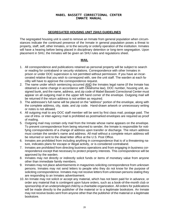#### **SEGREGATED HOUSING UNIT (SHU) GUIDELINES**

The segregated housing unit is used to remove an Inmate from general population when circumstances indicate the continued presence of the Inmate in general population poses a threat to property, staff, self, other Inmates, or to the security or orderly operation of the institution. Inmates will have a hearing before being placed in disciplinary detention or long-term segregation. Upon placement in SHU, the Inmates will be given an SHU rules and regulations sheet.

#### **MAIL**

- 1. All correspondence and publications retained as personal property will be subject to search or reading for contraband or security violations. Correspondence with other Inmates in prison or under DOC supervision is not permitted without permission. If you have an incarcerated relative that you wish to correspond with, see the unit staff. The warden at each facility will have to approve the correspondence request.
- 2. The name under which sentencing occurred AND the Inmates legal name (if the Inmate has obtained a name change in accordance with Oklahoma law), DOC number, housing unit, assigned bunk, and the name, address, and zip code of Mabel Bassett Correctional Center must appear on all outgoing mail in the upper left hand corner of the envelope. Outgoing mail will be returned if the return address is not written as required.
- 3. The addressee's full name will be placed on the "address" portion of the envelope, along with the complete address, city, state, and zip code. Hand-drawn artwork or unnecessary writing or notes is not allowed.
- 4. All outgoing mail to any DOC staff member will be sent by first class mail, postage paid. The use of intra- or inter-agency mail is prohibited as postmarked envelopes are required as proof of mailing.
- 5. Outgoing mail may contain only mail from the Inmate whose name appears on the envelope. To prevent correspondence from being returned to sender, the Inmate is responsible for notifying correspondents of a change of address upon transfer or discharge. The return address must contain the sender's name and address. All mail without a complete return address will be returned or sent to the dead letter office at the U.S. Post Office.
- 6. Inmates are prohibited from including anything in correspondence that is of a threatening nature, indicates plans for escape or illegal activity, or is considered contraband.
- 7. Inmates are prohibited from directing business operations and from engaging in business correspondence except that necessary to protect property interests. This correspondence will be approved by the warden.
- 8. Inmates may not directly or indirectly solicit funds or items of monetary value from anyone other than immediate family members.
- 9. Inmates may not place advertisements in magazines soliciting correspondence from unknown persons. Inmates may not send letters to people who they do not know for the purpose of soliciting correspondence. Inmates may not receive letters from unknown persons stating they are responding to an Inmates advertisement.
- 10. An Inmate may not solicit or accept any material, which has not been paid for in advance, or order any material that is contingent upon future orders, such as a book-of-the-month club or sponsorship of an underprivileged child by a charitable organization. All orders for publications will be made directly to the publisher of the material or to a legitimate bookstore. An Inmate may not receive books sent from anyone other than the publisher of the material or a legitimate bookstore.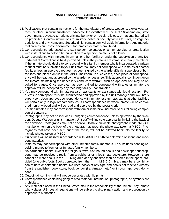- 11. Publications that contain instructions for the manufacture of drugs, weapons, explosives, tattoos, or other unlawful substance; advocate the overthrow of the U.S./Oklahoma/any state government; advocate terrorism, criminal behavior or racial, religious, or national hatred will be prohibited. Contain instructions for military, police or security tactics for riots, hostage negotiations and any Homeland Security drills; contain survival guide information. Any material that creates an unsafe environment for Inmates or staff is prohibited.
- 12. Correspondence addressed to a staff person, volunteer, or an inmate club or organization with instructions to deliver the publication to a specific inmate is not allowed.
- 13. Correspondence with Inmates in any jail or other facility or under the supervision of any Department of Corrections is NOT permitted unless the persons are immediate family members. If the Inmate should desire to correspond with a family member who is incarcerated, a written request must be submitted to your unit staff. You may not correspond with Inmates at another facility unless an approved request has been signed by the Warden/District supervisor of both facilities and placed on file in the MBCC mailroom. In such cases, each piece of correspondence will be read and approved by the Warden or designee. This approval is contingent upon the Inmate maintaining the necessary conduct to warrant such an approval and may be revoked for cause. Once approval has been gained to correspond with another Inmate, the approval will be accepted by any receiving facility upon transfer.
- 14. You may correspond with Inmate research assistants for assistance with legal research. Requests to correspond must be submitted to and approved by the unit manager and law library supervisor. Upon approval, correspondence with Inmate research assistants at other facilities will pertain only to legal research/issues. All correspondence between Inmate will be considered non-privileged and will be read and approved by the postal clerk.
- 15. Former Inmates may not correspond with former inmate(s) until three years following completion of sentence.
- 16. Photographs may not be included in outgoing correspondence unless approved by the Warden, Deputy Warden or unit manager. Unit staff will indicate approval by initialing the back of the envelope. Photographs may not be sent out to have duplicate photographs made. "MBCC" must be written on the back of the photograph as proof the photo was taken at MBCC. Photographs that have been sent out of the facility will not be allowed back into the facility, to include photos taken at MBCC.
- 17. Guidelines will be utilized in accordance with MB-030117-02 to determine obscene and indecent materials.
- 18. Inmates may not correspond with other Inmates family members. This includes sending/receiving money to/from other Inmates family members.
- 19. No hardbound books, except for religious texts. Soft bound books and newspaper subscriptions may be received directly from a publisher or a legitimate bookstore. However, there cannot be more books in the living area at any one time than be stored in the space provided (one cubic foot). Books borrowed from the M.B.C.C. library may be a combination of hard or softbound books. No used books of any type and books not received directly from the publisher, book store, book vendor (i.e. Amazon, etc.) or through approved donations.
- 20. Outgoing/incoming mail will not be decorated with lip prints.
- 21. Correspondence containing gang related material, information, photographs, or symbols are prohibited.
- 22. Any material placed in the United States mail is the responsibility of the Inmate. Any Inmate who violates U.S. postal regulations will be subject to disciplinary action and prosecution by appropriate authorities.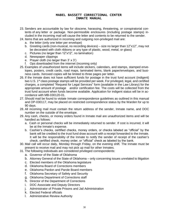- 23. Senders are accountable by law for obscene, harassing, threatening, or conspiratorial contents of any letter or package. Non-permissible enclosures (including postage stamps) included in the incoming mail will cause the letter and contents to be returned to the sender.
- 24. Items that are authorized in incoming and outgoing non-privileged mail are:
	- a. the letter (only one letter per envelope)
	- b. Greeting cards (non-musical, no recording devices) size no larger than 12"x12", may not be decorated with cloth ribbons or any type of plastic, wood, metal, or glass)
	- c. Pictures (no larger than 12"x12", no lamination)
	- d. Newspaper clippings
	- e. Prayer cloth (no larger than 3' x 3')
	- f. Ops downloaded from the internet (incoming only)
- 25. Examples of unauthorized items will include stickers, calendars, and stamps, stamped envelopes, posters, credit cards, road maps, laminated items, blank paper/envelopes, and business cards. Xeroxed copies will be limited to three pages per letter.
- 26. If the Inmate does not have sufficient funds for postage in the trust fund account (indigent) two U.S. 1<sup>st</sup> class postage stamps will be provided per week. For privileged, legal, and certified charges, a completed "Request for Legal Services" form (available in the Law Library) for the appropriate amount of postage and/or certification fee. The costs will be collected from the trust fund account when funds become available. Application for indigent status will be in accordance with MB-030120-01.
- 27. Should mail be found to violate Inmate correspondence guidelines as outlined in this manual and OP-030117, may be placed on restricted correspondence status by the Warden for up to 90 days.
- 28. All incoming mail must contain the return address of the sender, Inmate name, and DOC number on the outside of the envelope.
- 29. Any cash, checks, or money orders found in Inmate mail are unauthorized items and will be handled as follows:
	- a. Cash or personal checks will be immediately returned to sender. If cost is incurred, it will be at the Inmate's expense.
	- b. Cashier's checks, certified checks, money orders, or checks labeled as "official" by the bank will be credited to the trust fund draw account with a receipt forwarded to the Inmate. It will be the responsibility of the Inmate to notify the sender of receipt of the cashier's check, certified check, money order, or "official" check as labeled by the bank.
- 30. Mail call will occur daily, Monday through Friday, on the evening shift. The Inmate must be present to receive mail and may not pick up mail for other Inmates.
- 31. The following individuals are considered privileged correspondents:
	- a. Governor of the State of Oklahoma
	- b. Attorney General of the State of Oklahoma only concerning issues unrelated to litigation
	- c. Elected members of the Oklahoma legislature
	- d. Oklahoma Board of Corrections members
	- e. Oklahoma Pardon and Parole Board members
	- f. Oklahoma Secretary of Safety and Security
	- g. Oklahoma Department of Corrections staff
	- h. Director of the Department of Corrections
	- i. DOC Associate and Deputy Directors
	- j. Administrator of Private Prisons and Jail Administration
	- k. Elected Federal officials
	- l. Administrative Review Authority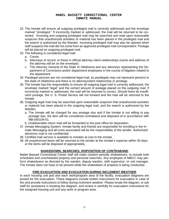- 32. The Inmate will ensure all outgoing privileged mail is correctly addressed and the envelope marked "privileged." If incorrectly marked or addressed, the mail will be returned to be corrected. Incoming and outgoing privileged mail may be searched and read upon reasonable suspicion that unauthorized activities or material has been placed in the privileged mail and the search is authorized by the Warden. Incoming privileged mail may also be opened when staff suspects the mail did not come from an approved privileged mail correspondent. Postage will be placed on outgoing privileged mail.
- 33. The following is considered legal mail:
	- a. Courts
	- b. Attorneys of record, or those in official attorney-client relationships (name and address of the attorney will be on the envelope)
	- c. The Attorney General of the State of Oklahoma and any attorneys representing the Department of Corrections and/or department employees in the course of litigation related to the department.
- 34. Paralegal services are not considered legal mail, as paralegals may not represent persons in the state of Oklahoma and there is no attorney/client relationship or privilege.
- 35. The Inmate has the responsibility to ensure all outgoing legal mail is correctly addressed, the envelope marked "legal" and the correct amount of postage placed on the outgoing mail. If incorrectly marked or addressed, the mail will be returned to correct. Should there be insufficient postage, the U. S. Postal Service will not forward and the mail will be returned to the Inmate.
- 36. Outgoing legal mail may be searched upon reasonable suspicion that unauthorized activities or material has been placed in the outgoing legal mail, and the search is authorized by the Warden.
	- a. The Inmate will be charged for any postage due and if the Inmate is not willing to pay postage due, the item will be considered contraband and disposed of in accordance with MB-040109-01.
	- b. Undeliverable return mail will be forwarded to the post office for disposition.
- 37. Inmate Messaging System: Inmate family and friends are responsible for enrolling in the Inmate Messaging and all costs associated will be the responsibility of the sender. Authorized electronic mail is not confidential.
- 38. Certified mail service is available to inmates at cost to the inmate.
- 39. All unauthorized items will be returned to the sender at the inmate's expense within 30 days or the items will be disposed of appropriately.

#### **SHAKEDOWN, SEARCHES, DISPOSITION OF CONTRABAND**

Mabel Bassett Correctional Center staff will make random periodic shakedowns, to include both scheduled and unscheduled property and personal searches. Any employee of MBCC may perform shakedowns as directed by the warden, deputy warden, shift supervisor, or unit manager. The Inmate does not have to be present while the shakedown of property is being conducted.

#### **FIRE EVACUATION AND EVACUATION DURING INCLEMENT WEATHER**

In each housing unit pod and each work/program area of the facility, evacuation diagrams are posted for fire evacuation. These diagrams include written instructions for evacuation in case of fire and provide instructions to follow during inclement weather. Please locate the diagram, or ask staff for assistance in locating the diagram, and review it carefully for evacuation instructions for the assigned housing unit and any work or program area.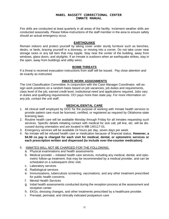Fire drills are conducted at least quarterly in all areas of the facility. Inclement weather drills are conducted seasonally. Please follow instructions of the staff member in the area to ensure safety should an actual emergency occur.

#### **EARTHQUAKE**

Remain indoors and protect yourself by taking cover under sturdy furniture such as benches, desks, or beds, bracing yourself in a doorway, or moving into a corner. Do not take cover near storage racks or any tall item that may topple. Stay near the center of the building, away from windows, glass doors, and skylights. If an Inmate is outdoors when an earthquake strikes, stay in the open, away from buildings and utility wires.

#### **BOMB THREATS**

If a threat is received evacuation instructions from staff will be issued. Pay close attention and do exactly as instructed.

#### **INMATE WORK ASSIGNMENTS**

The Unit Classification Committee, in conjunction with the Case Manager Coordinator, will assign work positions on a random basis based on job vacancies, job duties and requirements, class level of the job, earned credit level, institutional need and applications required. Jobs vary in duties and qualifying requirements. OCI pays more than state pay. For more information on any job, contact the unit staff.

# **MEDICAL/DENTAL CARE**

- 1. All clinical staff employed by DOC for the purpose of working with Inmate health services to provide patient care must be licensed, certified, or registered as required by Oklahoma state licensing laws.
- 2. Routine health care will be available Monday through Friday for all Inmates requesting such services. Specific details initiating contact with medical for sick call, pill line, etc. will be discussed during orientation and are located in MB-140117-01.
- 3. Emergency services will be available 24 hours per day, seven days per week.
- 4. No Inmate will be refused health care or medication because of financial status. **However, a \$4.00 co pay is charged for each visit for medical, dental, or optometric services or each prescription written and dispensed (to include over-the-counter medication).**

#### 5. INMATES WILL NOT BE CHARGED FOR THE FOLLOWING:

- a. Physical examinations and health assessments
- b. Medical provider initiated health care services, including any medical, dental, and optometric follow-up treatment, that may be recommended by a medical provider, and can be scheduled on a subsequent clinic visit.
- c. Laboratory services
- d. Radiological services
- e. Immunizations, tuberculosis screening, vaccinations, and any other treatment prescribed for public health concerns.
- f. Mental Health Services
- g. Initial health assessments conducted during the reception process at the assessment and reception center
- h. EKGs, dressing changes, and other treatments prescribed by a healthcare provider.
- i. Prenatal, perinatal, and clinically indicated postpartum care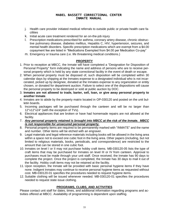- j. Health care provider initiated medical referrals to outside public or private health care facilities
- k. Initial acute care treatment rendered for an on-the-job injury
- l. Prescription medications prescribed for asthma, coronary artery disease, chronic obstructive pulmonary disease, diabetes mellitus, Hepatitis C, HIV, hypertension, seizures, and mental health disorders. Specific prescription medications which are exempt from a \$4.00 copayment fee are listed in "Medications Exempted from \$4.00 per Medication Co-pay"
- m. Emergency or trauma care (i.e. life threatening medical conditions.)

#### **PROPERTY**

- 1. Prior to reception at MBCC, the Inmate will have completed a "Designation for Disposition of Personal Property" form indicating the name and address of persons who are to receive personal property which is held by any state correctional facility in the event of death or escape.
- 2. When personal property must be disposed of, such disposition will be completed within 30 calendar days by shipping at the Inmates expense to a designated individual who is not incarcerated, picked up by designee, donated at the Inmates expense to any organization or entity chosen, or donated for department auction. Failure to select one of the dispositions will cause the personal property to be destroyed or sold at public auction by DOC.
- 3. **Inmates are not allowed to trade, barter, sell, loan, or give away personal property to another Inmate**.
- 4. Inmates are to abide by the property matrix located in OP-030120 and posted on the unit bulletin boards.
- 5. Incoming packages will be purchased through the canteen and will be no larger than 12"x12"x24" (with the exception of TVs).
- 6. Electrical appliances that are broken or have had homemade repairs are not allowed at the facility.
- 7. *Any personal property retained is brought into MBCC at the risk of the Inmate. MBCC is not responsible for unsecured personal property.*
- 8. Personal property items are required to be permanently marked with "INMATE" and the name and number. Other items will be etched with an engraver.
- 9. Legal materials and legal reference materials including books will be allowed in the living area within a space not to exceed one cubic foot in the living area. Other papers (including, but not limited to religious materials, books, periodicals, and correspondence) are restricted to the amount that can be stored in one cubic foot.
- 10. Inmates on level I or II may not purchase hobby craft items. MB-030120-05 lists the type of craft items that may be purchased for Inmates on level III or IV from canteen. Approval to purchases must be made through your unit staff. Once received, the Inmate has 90 days to complete the project. Once the project is completed, the Inmate has 30 days to mail it out of the facility. Hobby craft items may not be retained at the facility.
- 11. Upon reception, the Inmate will be provided with basic personal hygiene items if they have none. Indigent Inmates may continue to receive personal hygiene items as requested without cost. MB-030120-01 specifies the procedures needed to request hygiene items.
- 12. Suitable clothing will be issued whenever needed. MB-030120-01 specifies the procedures needed to request state issue clothing.

# **PROGRAMS, CLUBS, AND ACTIVITIES**

Please contact unit staff for dates, times, and additional information regarding programs and activities offered at MBCC. Availability of programming is dependent upon staffing.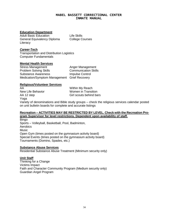#### **Education Department**

Adult Basic Education **Life Skills** General Equivalency Diploma College Courses **Literacy** 

## *Career***-Tech**

Transportation and Distribution Logistics Computer Fundamentals

#### **Mental Health Services**

Stress Management **Anger Management** Problem Solving Skills Communication Skills Substance Awareness **Impulse Control** Medication/Symptom Management Grief Recovery

# **Religious/Volunteer Services**

AA Within My Reach New Life Behavior **Women** in Transition AA 12 step Girl scouts behind bars Yoga

Variety of denominations and Bible study groups – check the religious services calendar posted on unit bulletin boards for complete and accurate listings

#### **Recreation – ACTIVITIES MAY BE RESTRICTED BY LEVEL. Check with the Recreation Program Supervisor for level restrictions. Dependent upon availability of staff.**

**Bingo** Sports – Volleyball, Basketball, Pool, Badminton, **Aerobics Music** Open Gym (times posted on the gymnasium activity board) Special Events (times posted on the gymnasium activity board) Tournaments (Domino, Spades, etc.)

#### **Substance Abuse Services**

Residential Substance Abuse Treatment (Minimum security only)

#### **Unit Staff**

Thinking for a Change Victims Impact Faith and Character Community Program (Medium security only) Guardian Angel Program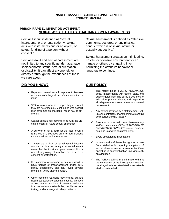#### **PRISON RAPE ELIMINIATION ACT (PREA) SEXUAL ASSAULT AND SEXUAL HARASSMENT AWARENESS**

Sexual Assault is defined as "sexual intercourse, oral or anal sodomy, sexual acts with instruments and/or an object, or sexual fondling of a person without consent."

Sexual assault and sexual harassment are not limited to any specific gender, age, race, socioeconomic status, sexual orientation, or disability. It can affect anyone, either directly or through the experiences of those we care about.

#### **DID YOU KNOW? OUR POLICY**

- Rape and sexual assault happens to females and males of all ages from infancy to senior citizens
- 98% of males who have raped boys reported they are heterosexual. Most males who assault men or women are married or report having girlfriends.
- Sexual assault has nothing to do with the victim's present or future sexual orientation.
- A survivor is not at fault for the rape, even if (s)he was in a secluded area, or had previous consensual sex with the attacker.
- The fact that a victim of sexual assault became aroused or climaxes during an assault does not mean that the individual gave consent. It is a normal physiological reaction not related to consent or gratification.
- It is common for survivors of sexual assault to have feelings of embarrassment, anger, guilt, panic, depression, and fear even several months or years after the attack.
- Other common reactions may include, but are not limited to: loss of appetite, nausea, stomach aches, headaches, loss of memory, seclusion from normal routines/activities, trouble concentrating, and/or changes in sleep patterns.

Sexual harassment is defined as "offensive comments, gestures, or any physical conduct which is of sexual nature or sexually suggestive."

Sexual harassment creates an intimidating, hostile, or offensive environment for an inmate or others by engaging in or permitting the offensive behavior or language to continue.

- This facility holds a *ZERO TOLERANCE* policy in accordance with federal, state, and agency guidelines. The policy is designed to education, prevent, detect, and respond to all allegations of sexual abuse and sexual harassment
- Any sexual advance by a staff member, volunteer, contractor, or another inmate should be reported *IMMEDIATELY*
- Sexual acts or sexual contact between any staff and an inmate, *EVEN IF THE INMATE INITIATES OR PURSUES*, is never consensual and is always against the law.
- $\checkmark$  Every allegation is investigated
- Inmates and staff have the right to be free from retaliation for reporting allegations of sexual abuse or sexual harassment or if cooperating in an investigation involving such an allegation.
- The facility shall inform the inmate victim at the conclusion of the investigation whether the allegation is substantiated, unsubstantiated, or unfounded.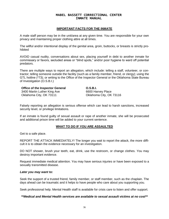#### **IMPORTANT FACTS FOR THE INMATE**

A male staff person may be in the unit/area at any given time. You are responsible for your own privacy and maintaining proper clothing attire at all times.

The willful and/or intentional display of the genital area, groin, buttocks, or breasts is strictly prohibited

AVOID casual nudity, conversations about sex, placing yourself in debt to another inmate for commissary or favors, secluded areas or "blind spots," and/or poor hygiene to ward off potential predators.

There are multiple ways to report an allegation, which include: telling a staff, volunteer, or contractor; telling someone outside the facility (such as a family member, friend, or clergy); using the GTL hotline (\*73); or writing to the Office of the Inspector General or the Oklahoma State Bureau of Investigation (O.S.B.I.)

#### **Office of the Inspector General** 3400 Martin Luther King Ave

Oklahoma City, OK 73111

**O.S.B.I.** 6600 Harvey Place Oklahoma City, OK 73116

Falsely reporting an allegation is serious offense which can lead to harsh sanctions, increased security level, or privilege limitations.

If an inmate is found guilty of sexual assault or rape of another inmate, she will be prosecuted and additional prison time will be added to your current sentence.

#### **WHAT TO DO IF YOU ARE ASSAULTED**

Get to a safe place.

REPORT THE ATTACK IMMEDIATELY! The longer you wait to report the attack, the more difficult it is to obtain the evidence necessary for an investigation.

DO NOT shower, brush your teeth, eat, drink, use the restroom, or change clothes. You may destroy important evidence.

Request immediate medical attention. You may have serious injuries or have been exposed to a sexually transmitted disease.

#### *Later you may want to:*

Seek the support of a trusted friend, family member, or staff member, such as the chaplain. The days ahead can be traumatic and it helps to have people who care about you supporting you.

Seek professional help. Mental Health staff is available for crisis care to listen and offer support.

*\*\*Medical and Mental Health services are available to sexual assault victims at no cost\*\**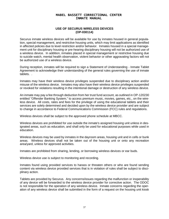#### **USE OF SECURUS WIRELESS DEVICES (OP-030114)**

Securus inmate wireless devices will be available for use by inmates housed in general population, special management, and restrictive housing units, which may limit applications as identified in affected policies due to level restriction and/or behavior. Inmates housed in a special management unit for disciplinary housing or pre-hearing disciplinary housing will not be authorized use of a wireless device. In addition, inmates placed in special management or restrictive housing due to suicide watch, mental health observation, violent behavior or other aggravating factors will not be authorized use of a wireless device.

During reception, inmates will be required to sign a Statement of Understanding - Inmate Tablet Agreement to acknowledge their understanding of the general rules governing the use of inmate tablets. .

Inmates may have their wireless device privileges suspended due to disciplinary action and/or misuse of the wireless device. Inmates may also have their wireless device privileges suspended or revoked for violations resulting in the intentional damage or destruction of any wireless device.

An inmate may pay a fee through deduction from her trust fund account, as outlined in OP-120230 entitled "Offender Banking System," to access premium music, movies, games, etc., on the wireless device. All costs, rates and fees for the privilege of using the educational tablets and their services are solely determined and decided upon by the wireless device provider and are subject to change in accordance to Federal Communications Commission (FCC) rules and regulations.

Wireless devices shall be subject to the approved phone schedule at MBCC.

Wireless devices are prohibited for use outside the inmate's assigned housing unit unless in designated areas, such as education, and shall only be used for educational purposes while used in education.

Wireless devices may be used by inmates in the dayroom areas, housing unit and in cells or bunk areas. Wireless devices shall not be taken out of the housing unit or onto any recreation area/yard, unless for approved activities.

Inmates are prohibited from sharing, lending, or borrowing wireless devices or ear buds.

Wireless device use is subject to monitoring and recording.

Inmates found using provided services to harass or threaten others or who are found sending content via wireless device provided services that is in violation of rules shall be subject to disciplinary action.

Tablets are provided by Securus. Any concerns/issues regarding the malfunction or inoperability of any device will be forwarded to the wireless device provider for corrective action. The ODOC is not responsible for the operation of any wireless device. Inmate concerns regarding the operation of any wireless device shall be submitted in the form of a request on the housing unit kiosk